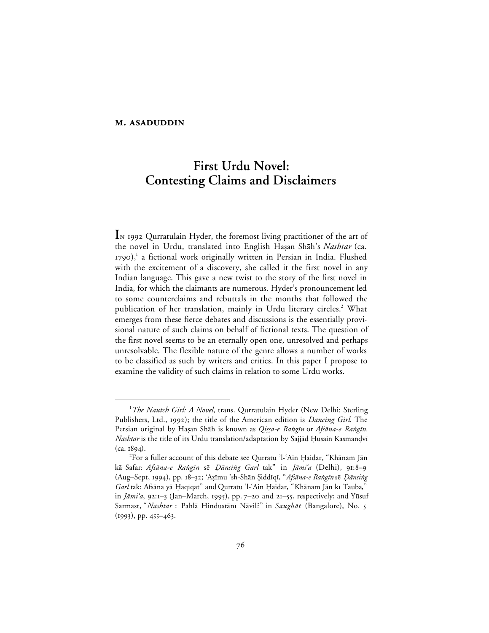# **First Urdu Novel: Contesting Claims and Disclaimers**

I<sub>N</sub> 1992 Qurratulain Hyder, the foremost living practitioner of the art of the novel in Urdu, translated into English Haşan Shāh's *Nashtar* (ca.  $1790$ ),<sup>1</sup> a fictional work originally written in Persian in India. Flushed with the excitement of a discovery, she called it the first novel in any Indian language. This gave a new twist to the story of the first novel in India, for which the claimants are numerous. Hyder's pronouncement led to some counterclaims and rebuttals in the months that followed the publication of her translation, mainly in Urdu literary circles.<sup>2</sup> What emerges from these fierce debates and discussions is the essentially provisional nature of such claims on behalf of fictional texts. The question of the first novel seems to be an eternally open one, unresolved and perhaps unresolvable. The flexible nature of the genre allows a number of works to be classified as such by writers and critics. In this paper I propose to examine the validity of such claims in relation to some Urdu works.

 $\begin{array}{c}\n\hline\n\end{array}$ *The Nautch Girl: A Novel*, trans. Qurratulain Hyder (New Delhi: Sterling Publishers, Ltd., 1992); the title of the American edition is *Dancing Girl*. The Persian original by Haṣan Shāh is known as *Qiṣṣa-e Raṅgīn* or Afsāna-e Raṅgīn. *Nashtar* is the title of its Urdu translation/adaptation by Sajjād Ḥusain Kasmandvī  $(ca. 1894).$ 

 $^{2}$ For a fuller account of this debate see Qurratu 'l-'Ain Ḥaidar, "Khānam Jān kā Safar: *Afsāna-e Raṅgīn sē Dānsiṅg Garl* tak" in *Jāmiʻa* (Delhi), 91:8–9 (Aug-Sept, 1994), pp. 18-32; 'Azīmu 'sh-Shān Şiddīqī, "Afsāna-e Rangīn sē Dānsing Garl tak: Afsāna yā Ḥaqīqat" and Qurratu 'l-'Ain Ḥaidar, "Khānam Jān kī Tauba," in  $Jāmi'a$ , 92:1-3 (Jan–March, 1995), pp. 7-20 and 21-55, respectively; and Yūsuf Sarmast, "*Nashtar* : Pahlā Hindustānī Nāvil?" in Saughāt (Bangalore), No. 5  $(1993), pp. 455 - 463.$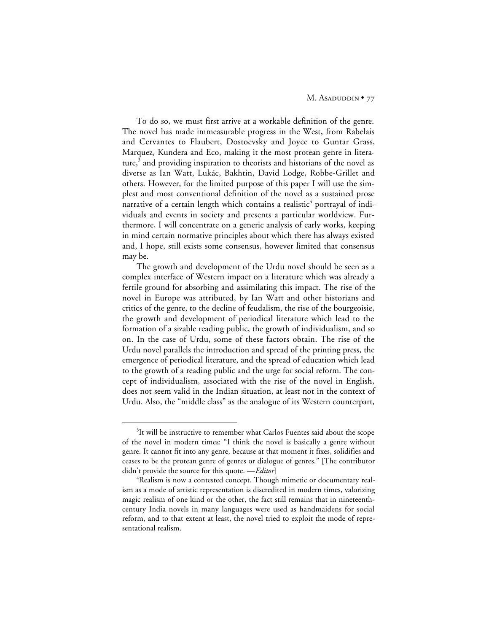To do so, we must first arrive at a workable definition of the genre. The novel has made immeasurable progress in the West, from Rabelais and Cervantes to Flaubert, Dostoevsky and Joyce to Guntar Grass, Marquez, Kundera and Eco, making it the most protean genre in literature, $3$  and providing inspiration to theorists and historians of the novel as diverse as Ian Watt, Lukác, Bakhtin, David Lodge, Robbe-Grillet and others. However, for the limited purpose of this paper I will use the simplest and most conventional definition of the novel as a sustained prose narrative of a certain length which contains a realistic<sup>4</sup> portrayal of individuals and events in society and presents a particular worldview. Furthermore, I will concentrate on a generic analysis of early works, keeping in mind certain normative principles about which there has always existed and, I hope, still exists some consensus, however limited that consensus may be.

The growth and development of the Urdu novel should be seen as a complex interface of Western impact on a literature which was already a fertile ground for absorbing and assimilating this impact. The rise of the novel in Europe was attributed, by Ian Watt and other historians and critics of the genre, to the decline of feudalism, the rise of the bourgeoisie, the growth and development of periodical literature which lead to the formation of a sizable reading public, the growth of individualism, and so on. In the case of Urdu, some of these factors obtain. The rise of the Urdu novel parallels the introduction and spread of the printing press, the emergence of periodical literature, and the spread of education which lead to the growth of a reading public and the urge for social reform. The concept of individualism, associated with the rise of the novel in English, does not seem valid in the Indian situation, at least not in the context of Urdu. Also, the "middle class" as the analogue of its Western counterpart,

 $\frac{1}{3}$ <sup>3</sup>It will be instructive to remember what Carlos Fuentes said about the scope of the novel in modern times: "I think the novel is basically a genre without genre. It cannot fit into any genre, because at that moment it fixes, solidifies and ceases to be the protean genre of genres or dialogue of genres." [The contributor didn't provide the source for this quote. —*Editor***]**

<sup>4</sup> Realism is now a contested concept. Though mimetic or documentary realism as a mode of artistic representation is discredited in modern times, valorizing magic realism of one kind or the other, the fact still remains that in nineteenthcentury India novels in many languages were used as handmaidens for social reform, and to that extent at least, the novel tried to exploit the mode of representational realism.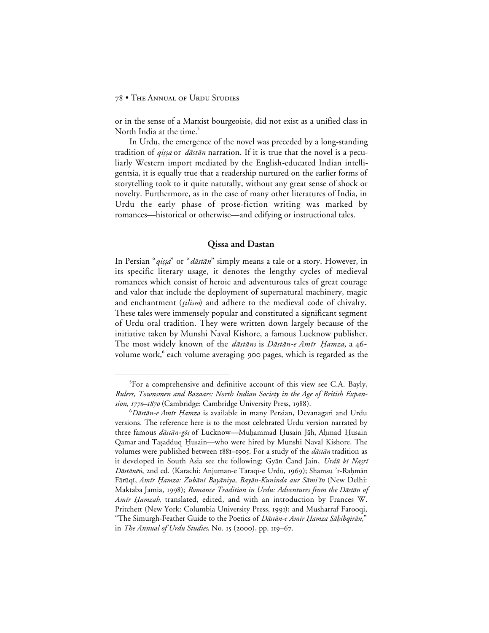or in the sense of a Marxist bourgeoisie, did not exist as a unified class in North India at the time.<sup>5</sup>

In Urdu, the emergence of the novel was preceded by a long-standing tradition of *qissa* or *dāstān* narration. If it is true that the novel is a peculiarly Western import mediated by the English-educated Indian intelligentsia, it is equally true that a readership nurtured on the earlier forms of storytelling took to it quite naturally, without any great sense of shock or novelty. Furthermore, as in the case of many other literatures of India, in Urdu the early phase of prose-fiction writing was marked by romances—historical or otherwise—and edifying or instructional tales.

## **Qissa and Dastan**

In Persian "qiṣṣa" or "dāstān" simply means a tale or a story. However, in its specific literary usage, it denotes the lengthy cycles of medieval romances which consist of heroic and adventurous tales of great courage and valor that include the deployment of supernatural machinery, magic and enchantment (tilism) and adhere to the medieval code of chivalry. These tales were immensely popular and constituted a significant segment of Urdu oral tradition. They were written down largely because of the initiative taken by Munshi Naval Kishore, a famous Lucknow publisher. The most widely known of the dāstāns is Dāstān-e Amīr Hamza, a 46volume work,<sup>6</sup> each volume averaging 900 pages, which is regarded as the

 $\frac{1}{\sqrt{2}}$ <sup>5</sup>For a comprehensive and definitive account of this view see C.A. Bayly, *Rulers, Townsmen and Bazaars: North Indian Society in the Age of British Expansion, 1770–1870* (Cambridge: Cambridge University Press, 1988).

 $^6D$ āstān-e Amīr Ḥamza is available in many Persian, Devanagari and Urdu versions. The reference here is to the most celebrated Urdu version narrated by three famous *dāstān-gōs* of Lucknow—Muḥammad Ḥusain Jāh, Aḥmad Ḥusain Qamar and Taṣadduq Ḥusain—who were hired by Munshi Naval Kishore. The volumes were published between  $1881-1905$ . For a study of the *dāstān* tradition as it developed in South Asia see the following: Gyān Cand Jain, *Urdū kī Naṣrī* Dāstānēn, 2nd ed. (Karachi: Anjuman-e Taraqī-e Urdū, 1969); Shamsu 'r-Rahmān Fārūqī, *Amīr Ḥamza: Zubānī Bayāniya, Bayān-Kuninda aur Sāmi'īn* (New Delhi: Maktaba Jamia, 1998); *Romance Tradition in Urdu: Adventures from the Dāstān of* Amir Hamzah, translated, edited, and with an introduction by Frances W. Pritchett (New York: Columbia University Press, 1991); and Musharraf Farooqi, "The Simurgh-Feather Guide to the Poetics of Dāstān-e Amīr Ḥamza Şāḥibqirān," in *The Annual of Urdu Studies*, No. 15 (2000), pp. 119-67.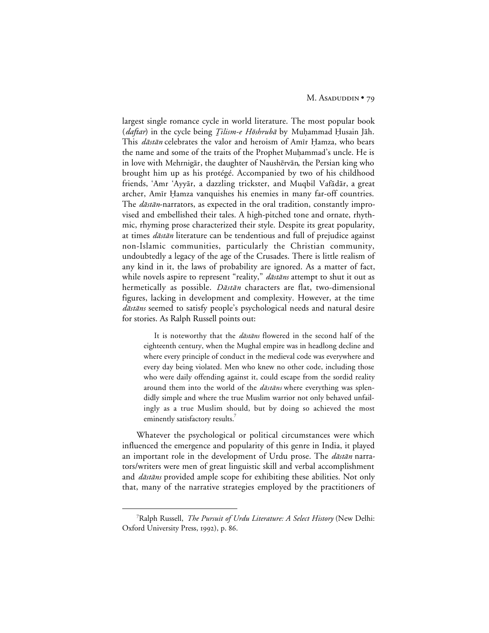largest single romance cycle in world literature. The most popular book (*daftar*) in the cycle being *Ţilism-e Hōshrubā* by Muḥammad Ḥusain Jāh. This *dāstān* celebrates the valor and heroism of Amīr Hamza, who bears the name and some of the traits of the Prophet Muhammad's uncle. He is in love with Mehrnigār, the daughter of Naushērvān, the Persian king who brought him up as his protégé. Accompanied by two of his childhood friends, 'Amr 'Ayyār, a dazzling trickster, and Muqbil Vafādār, a great archer, Amīr Ḥamza vanquishes his enemies in many far-off countries. The *dāstān*-narrators, as expected in the oral tradition, constantly improvised and embellished their tales. A high-pitched tone and ornate, rhythmic, rhyming prose characterized their style. Despite its great popularity, at times *dāstān* literature can be tendentious and full of prejudice against non-Islamic communities, particularly the Christian community, undoubtedly a legacy of the age of the Crusades. There is little realism of any kind in it, the laws of probability are ignored. As a matter of fact, while novels aspire to represent "reality," dāstāns attempt to shut it out as hermetically as possible. Dāstān characters are flat, two-dimensional figures, lacking in development and complexity. However, at the time dāstāns seemed to satisfy people's psychological needs and natural desire for stories. As Ralph Russell points out:

It is noteworthy that the *dāstāns* flowered in the second half of the eighteenth century, when the Mughal empire was in headlong decline and where every principle of conduct in the medieval code was everywhere and every day being violated. Men who knew no other code, including those who were daily offending against it, could escape from the sordid reality around them into the world of the *dāstāns* where everything was splendidly simple and where the true Muslim warrior not only behaved unfailingly as a true Muslim should, but by doing so achieved the most eminently satisfactory results.<sup>7</sup>

Whatever the psychological or political circumstances were which influenced the emergence and popularity of this genre in India, it played an important role in the development of Urdu prose. The  $d\bar{a}$ stān narrators/writers were men of great linguistic skill and verbal accomplishment and *dāstāns* provided ample scope for exhibiting these abilities. Not only that, many of the narrative strategies employed by the practitioners of

 $\frac{1}{7}$ Ralph Russell, *The Pursuit of Urdu Literature: A Select History* (New Delhi: Oxford University Press, 1992), p. 86.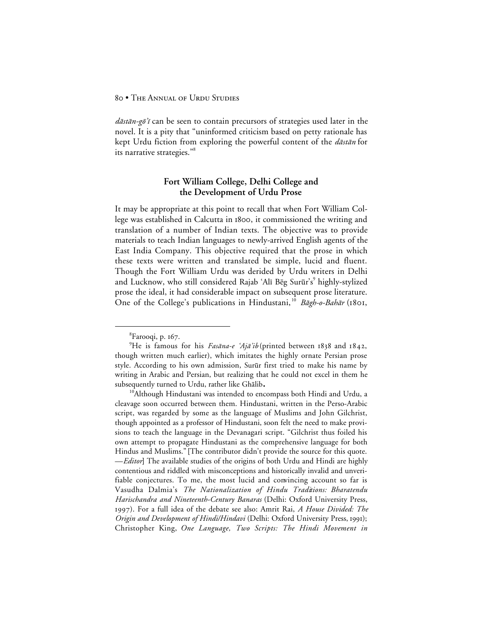$d\bar{a}$ stān-gõ'i can be seen to contain precursors of strategies used later in the novel. It is a pity that "uninformed criticism based on petty rationale has kept Urdu fiction from exploring the powerful content of the *dāstān* for its narrative strategies."8

## **Fort William College, Delhi College and the Development of Urdu Prose**

It may be appropriate at this point to recall that when Fort William College was established in Calcutta in 1800, it commissioned the writing and translation of a number of Indian texts. The objective was to provide materials to teach Indian languages to newly-arrived English agents of the East India Company. This objective required that the prose in which these texts were written and translated be simple, lucid and fluent. Though the Fort William Urdu was derided by Urdu writers in Delhi and Lucknow, who still considered Rajab 'Alī Bēg Surūr's<sup>9</sup> highly-stylized prose the ideal, it had considerable impact on subsequent prose literature. One of the College's publications in Hindustani,<sup>10</sup> Bāgh-o-Bahār (1801,

<sup>10</sup>Although Hindustani was intended to encompass both Hindi and Urdu, a cleavage soon occurred between them. Hindustani, written in the Perso-Arabic script, was regarded by some as the language of Muslims and John Gilchrist, though appointed as a professor of Hindustani, soon felt the need to make provisions to teach the language in the Devanagari script. "Gilchrist thus foiled his own attempt to propagate Hindustani as the comprehensive language for both Hindus and Muslims." **[**The contributor didn't provide the source for this quote. —*Editor***]** The available studies of the origins of both Urdu and Hindi are highly contentious and riddled with misconceptions and historically invalid and unverifiable conjectures. To me, the most lucid and convincing account so far is Vasudha Dalmia's *The Nationalization of Hindu Traditions: Bharatendu Harischandra and Nineteenth-Century Banaras* (Delhi: Oxford University Press, ). For a full idea of the debate see also: Amrit Rai, *A House Divided: The Origin and Development of Hindi/Hindavi* (Delhi: Oxford University Press, 1991); Christopher King, *One Language, Two Scripts: The Hindi Movement in*

 <sup>8</sup>  ${}^{8}$ Farooqi, p. 167.

<sup>&</sup>lt;sup>9</sup>He is famous for his Fasāna-e 'Ajā'ib (printed between 1838 and 1842, though written much earlier), which imitates the highly ornate Persian prose style. According to his own admission, Surūr first tried to make his name by writing in Arabic and Persian, but realizing that he could not excel in them he subsequently turned to Urdu, rather like Ghālib.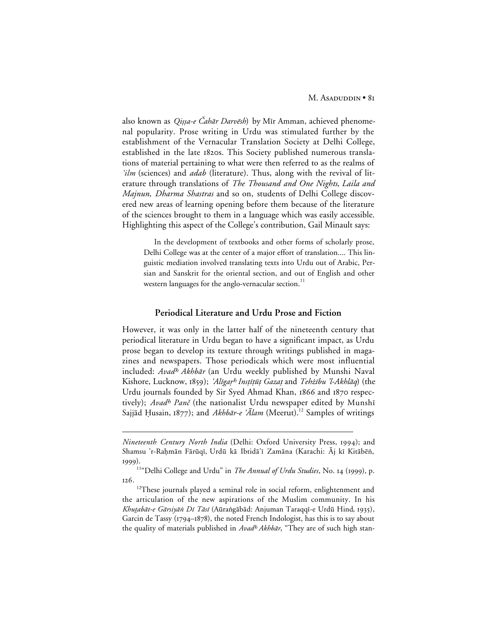also known as Qissa-e Čahār Darvēsh) by Mīr Amman, achieved phenomenal popularity. Prose writing in Urdu was stimulated further by the establishment of the Vernacular Translation Society at Delhi College, established in the late 1820s. This Society published numerous translations of material pertaining to what were then referred to as the realms of 'ilm (sciences) and *adab* (literature). Thus, along with the revival of literature through translations of *The Thousand and One Nights*, *Laila and Majnun*, *Dharma Shastras* and so on, students of Delhi College discovered new areas of learning opening before them because of the literature of the sciences brought to them in a language which was easily accessible. Highlighting this aspect of the College's contribution, Gail Minault says:

In the development of textbooks and other forms of scholarly prose, Delhi College was at the center of a major effort of translation.... This linguistic mediation involved translating texts into Urdu out of Arabic, Persian and Sanskrit for the oriental section, and out of English and other western languages for the anglo-vernacular section.<sup>11</sup>

## **Periodical Literature and Urdu Prose and Fiction**

However, it was only in the latter half of the nineteenth century that periodical literature in Urdu began to have a significant impact, as Urdu prose began to develop its texture through writings published in magazines and newspapers. Those periodicals which were most influential included: Avad<sup>h</sup> Akhbār (an Urdu weekly published by Munshi Naval Kishore, Lucknow, 1859); 'Alīgar<sup>h</sup> Instītūt Gazat and Tehżību 'l-Akhlāq) (the Urdu journals founded by Sir Syed Ahmad Khan, 1866 and 1870 respectively); Avadh Panč (the nationalist Urdu newspaper edited by Munshī Sajjād Ḥusain, 1877); and Akhbār-e 'Ālam (Meerut).<sup>12</sup> Samples of writings

 $\overline{a}$ 

*Nineteenth Century North India* (Delhi: Oxford University Press, 1994); and Shamsu 'r-Raḥmān Fārūqī, Urdū kā Ibtidā'ī Zamāna (Karachi: Aj kī Kitābēn, 1999).

<sup>&</sup>lt;sup>11"</sup>Delhi College and Urdu" in *The Annual of Urdu Studies*, No. 14 (1999), p. 126.

<sup>&</sup>lt;sup>12</sup>These journals played a seminal role in social reform, enlightenment and the articulation of the new aspirations of the Muslim community. In his Khutabāt-e Gārsiyān Dī Tāsī (Aūrangābād: Anjuman Taraqqī-e Urdū Hind, 1935), Garcin de Tassy ( $1794-1878$ ), the noted French Indologist, has this is to say about the quality of materials published in Avad<sup>h</sup> Akhbār, "They are of such high stan-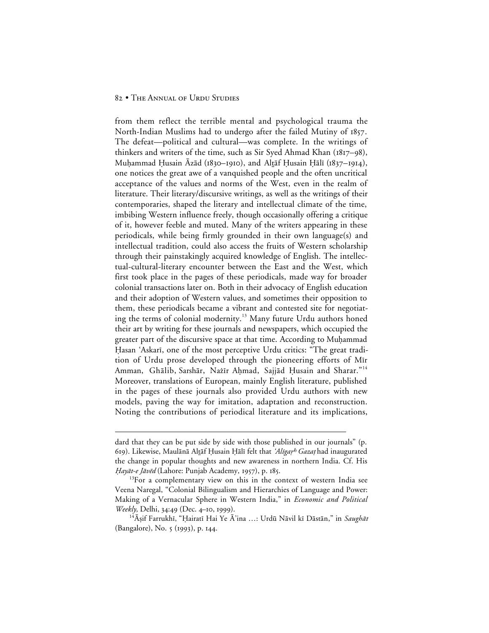$\overline{a}$ 

from them reflect the terrible mental and psychological trauma the North-Indian Muslims had to undergo after the failed Mutiny of 1857. The defeat—political and cultural—was complete. In the writings of thinkers and writers of the time, such as Sir Syed Ahmad Khan  $(1817-98)$ , Muhammad Husain Āzād (1830–1910), and Altāf Husain Hālī (1837–1914), one notices the great awe of a vanquished people and the often uncritical acceptance of the values and norms of the West, even in the realm of literature. Their literary/discursive writings, as well as the writings of their contemporaries, shaped the literary and intellectual climate of the time, imbibing Western influence freely, though occasionally offering a critique of it, however feeble and muted. Many of the writers appearing in these periodicals, while being firmly grounded in their own language(s) and intellectual tradition, could also access the fruits of Western scholarship through their painstakingly acquired knowledge of English. The intellectual-cultural-literary encounter between the East and the West, which first took place in the pages of these periodicals, made way for broader colonial transactions later on. Both in their advocacy of English education and their adoption of Western values, and sometimes their opposition to them, these periodicals became a vibrant and contested site for negotiating the terms of colonial modernity.<sup>13</sup> Many future Urdu authors honed their art by writing for these journals and newspapers, which occupied the greater part of the discursive space at that time. According to Muhammad Hasan 'Askarī, one of the most perceptive Urdu critics: "The great tradition of Urdu prose developed through the pioneering efforts of Mir Amman, Ghālib, Sarshār, Nażīr Aḥmad, Sajjād Ḥusain and Sharar."<sup>14</sup> Moreover, translations of European, mainly English literature, published in the pages of these journals also provided Urdu authors with new models, paving the way for imitation, adaptation and reconstruction. Noting the contributions of periodical literature and its implications,

dard that they can be put side by side with those published in our journals" (p. 619). Likewise, Maulānā Altāf Ḥusain Ḥālī felt that *ʿAlīgaṛʰ Gazaṭ* had inaugurated the change in popular thoughts and new awareness in northern India. Cf. His Hayāt-e Jāvēd (Lahore: Punjab Academy, 1957), p. 185.

<sup>&</sup>lt;sup>13</sup>For a complementary view on this in the context of western India see Veena Naregal, "Colonial Bilingualism and Hierarchies of Language and Power: Making of a Vernacular Sphere in Western India," in *Economic and Political Weekly*, Delhi, 34:49 (Dec. 4-10, 1999).

<sup>&</sup>lt;sup>14</sup> Aṣif Farrukhī, "Ḥairatī Hai Ye Ā'ina ...: Urdū Nāvil kī Dāstān," in Saughāt (Bangalore), No. 5 (1993), p. 144.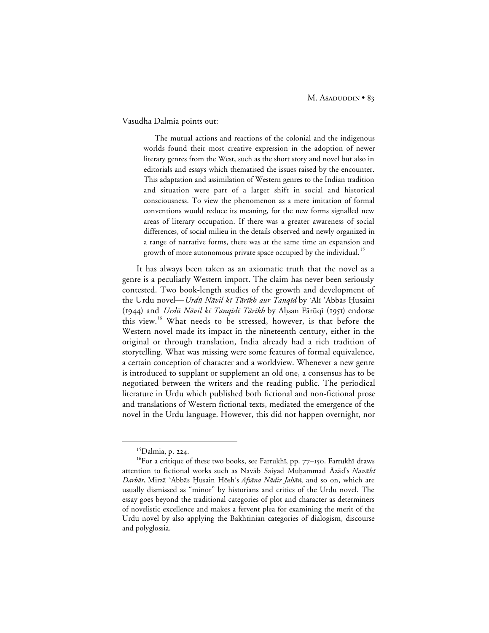#### Vasudha Dalmia points out:

The mutual actions and reactions of the colonial and the indigenous worlds found their most creative expression in the adoption of newer literary genres from the West, such as the short story and novel but also in editorials and essays which thematised the issues raised by the encounter. This adaptation and assimilation of Western genres to the Indian tradition and situation were part of a larger shift in social and historical consciousness. To view the phenomenon as a mere imitation of formal conventions would reduce its meaning, for the new forms signalled new areas of literary occupation. If there was a greater awareness of social differences, of social milieu in the details observed and newly organized in a range of narrative forms, there was at the same time an expansion and growth of more autonomous private space occupied by the individual.<sup>15</sup>

It has always been taken as an axiomatic truth that the novel as a genre is a peculiarly Western import. The claim has never been seriously contested. Two book-length studies of the growth and development of the Urdu novel—Urdū Nāvil kī Tārīkh aur Tanqīd by 'Alī 'Abbās Husainī (1944) and Urdū Nāvil kī Tanqīdī Tārīkh by Aḥsan Fārūqī (1951) endorse this view.<sup>16</sup> What needs to be stressed, however, is that before the Western novel made its impact in the nineteenth century, either in the original or through translation, India already had a rich tradition of storytelling. What was missing were some features of formal equivalence, a certain conception of character and a worldview. Whenever a new genre is introduced to supplant or supplement an old one, a consensus has to be negotiated between the writers and the reading public. The periodical literature in Urdu which published both fictional and non-fictional prose and translations of Western fictional texts, mediated the emergence of the novel in the Urdu language. However, this did not happen overnight, nor

<sup>&</sup>lt;sup>15</sup>Dalmia, p. 224.

 $16$ For a critique of these two books, see Farrukhī, pp. 77-150. Farrukhī draws attention to fictional works such as Navab Saiyad Muhammad Āzād's Navabī Darbār, Mirzā 'Abbās Ḥusain Hōsh's Afsāna Nādir Jahān, and so on, which are usually dismissed as "minor" by historians and critics of the Urdu novel. The essay goes beyond the traditional categories of plot and character as determiners of novelistic excellence and makes a fervent plea for examining the merit of the Urdu novel by also applying the Bakhtinian categories of dialogism, discourse and polyglossia.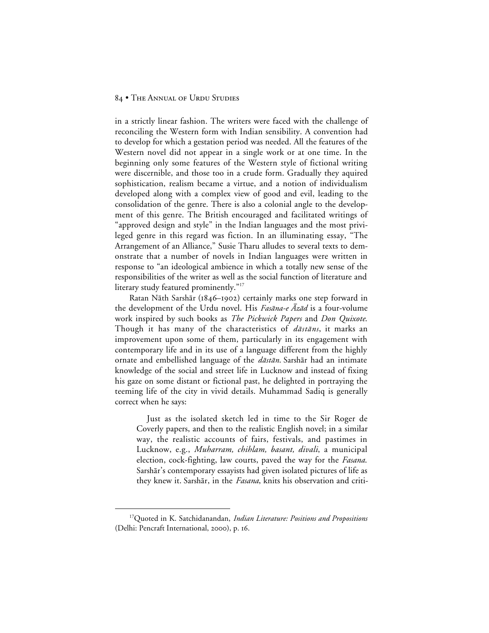in a strictly linear fashion. The writers were faced with the challenge of reconciling the Western form with Indian sensibility. A convention had to develop for which a gestation period was needed. All the features of the Western novel did not appear in a single work or at one time. In the beginning only some features of the Western style of fictional writing were discernible, and those too in a crude form. Gradually they aquired sophistication, realism became a virtue, and a notion of individualism developed along with a complex view of good and evil, leading to the consolidation of the genre. There is also a colonial angle to the development of this genre. The British encouraged and facilitated writings of "approved design and style" in the Indian languages and the most privileged genre in this regard was fiction. In an illuminating essay, "The Arrangement of an Alliance," Susie Tharu alludes to several texts to demonstrate that a number of novels in Indian languages were written in response to "an ideological ambience in which a totally new sense of the responsibilities of the writer as well as the social function of literature and literary study featured prominently."<sup>17</sup>

Ratan Nāth Sarshār (1846-1902) certainly marks one step forward in the development of the Urdu novel. His  $F$ asāna-e Āzād is a four-volume work inspired by such books as *The Pickwick Papers* and *Don Quixote*. Though it has many of the characteristics of  $d\bar{a}$ stans, it marks an improvement upon some of them, particularly in its engagement with contemporary life and in its use of a language different from the highly ornate and embellished language of the *dāstān*. Sarshār had an intimate knowledge of the social and street life in Lucknow and instead of fixing his gaze on some distant or fictional past, he delighted in portraying the teeming life of the city in vivid details. Muhammad Sadiq is generally correct when he says:

Just as the isolated sketch led in time to the Sir Roger de Coverly papers, and then to the realistic English novel; in a similar way, the realistic accounts of fairs, festivals, and pastimes in Lucknow, e.g., *Muharram, chihlam, basant, divali*, a municipal election, cock-fighting, law courts, paved the way for the *Fasana*. Sarshār's contemporary essayists had given isolated pictures of life as they knew it. Sarshār, in the *Fasana*, knits his observation and criti-

 <sup>17</sup>Quoted in K. Satchidanandan, *Indian Literature: Positions and Propositions* (Delhi: Pencraft International, 2000), p. 16.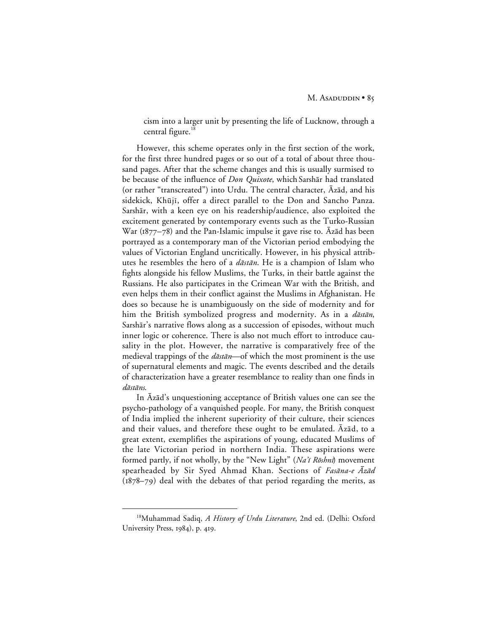cism into a larger unit by presenting the life of Lucknow, through a central figure.<sup>18</sup>

However, this scheme operates only in the first section of the work, for the first three hundred pages or so out of a total of about three thousand pages. After that the scheme changes and this is usually surmised to be because of the influence of *Don Quixote*, which Sarshar had translated (or rather "transcreated") into Urdu. The central character,  $\bar{A}z\bar{a}d$ , and his sidekick, Khūjī, offer a direct parallel to the Don and Sancho Panza. Sarshār, with a keen eye on his readership/audience, also exploited the excitement generated by contemporary events such as the Turko-Russian War ( $1877-78$ ) and the Pan-Islamic impulse it gave rise to.  $\bar{A}z\bar{a}d$  has been portrayed as a contemporary man of the Victorian period embodying the values of Victorian England uncritically. However, in his physical attributes he resembles the hero of a  $d\bar{a}$ st $\bar{a}n$ . He is a champion of Islam who fights alongside his fellow Muslims, the Turks, in their battle against the Russians. He also participates in the Crimean War with the British, and even helps them in their conflict against the Muslims in Afghanistan. He does so because he is unambiguously on the side of modernity and for him the British symbolized progress and modernity. As in a  $d\vec{a}$ stān, Sarshār's narrative flows along as a succession of episodes, without much inner logic or coherence. There is also not much effort to introduce causality in the plot. However, the narrative is comparatively free of the medieval trappings of the *dāstān*—of which the most prominent is the use of supernatural elements and magic. The events described and the details of characterization have a greater resemblance to reality than one finds in dāstāns.

In  $\bar{A}z\bar{a}d's$  unquestioning acceptance of British values one can see the psycho-pathology of a vanquished people. For many, the British conquest of India implied the inherent superiority of their culture, their sciences and their values, and therefore these ought to be emulated. Āzād, to a great extent, exemplifies the aspirations of young, educated Muslims of the late Victorian period in northern India. These aspirations were formed partly, if not wholly, by the "New Light" (Na'ī Rōshnī) movement spearheaded by Sir Syed Ahmad Khan. Sections of Fasana-e Āzād  $(1878-79)$  deal with the debates of that period regarding the merits, as

 <sup>18</sup>Muhammad Sadiq, *A History of Urdu Literature*, 2nd ed. (Delhi: Oxford University Press, 1984), p. 419.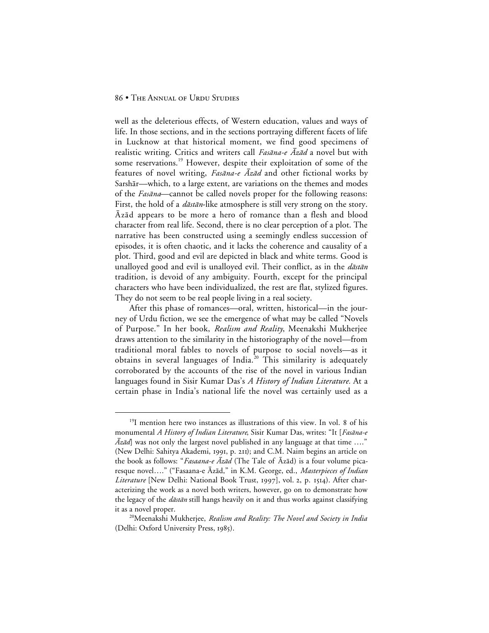well as the deleterious effects, of Western education, values and ways of life. In those sections, and in the sections portraying different facets of life in Lucknow at that historical moment, we find good specimens of realistic writing. Critics and writers call  $Fas\bar{a}na-e \bar{A}z\bar{a}d$  a novel but with some reservations.<sup>19</sup> However, despite their exploitation of some of the features of novel writing, Fasana-e  $\bar{A}z\bar{a}d$  and other fictional works by Sarshār—which, to a large extent, are variations on the themes and modes of the Fasana—cannot be called novels proper for the following reasons: First, the hold of a *dāstān*-like atmosphere is still very strong on the story. Āzād appears to be more a hero of romance than a flesh and blood character from real life. Second, there is no clear perception of a plot. The narrative has been constructed using a seemingly endless succession of episodes, it is often chaotic, and it lacks the coherence and causality of a plot. Third, good and evil are depicted in black and white terms. Good is unalloyed good and evil is unalloyed evil. Their conflict, as in the  $d\bar{a}$ st $\bar{a}n$ tradition, is devoid of any ambiguity. Fourth, except for the principal characters who have been individualized, the rest are flat, stylized figures. They do not seem to be real people living in a real society.

After this phase of romances—oral, written, historical—in the journey of Urdu fiction, we see the emergence of what may be called "Novels of Purpose." In her book, *Realism and Reality*, Meenakshi Mukherjee draws attention to the similarity in the historiography of the novel—from traditional moral fables to novels of purpose to social novels—as it obtains in several languages of India.<sup>20</sup> This similarity is adequately corroborated by the accounts of the rise of the novel in various Indian languages found in Sisir Kumar Das's *A History of Indian Literature.* At a certain phase in India's national life the novel was certainly used as a

 $19$ I mention here two instances as illustrations of this view. In vol. 8 of his monumental *A History of Indian Literature*, Sisir Kumar Das, writes: "It [Fasana-e  $\bar{A}z\bar{a}d$  was not only the largest novel published in any language at that time ...." (New Delhi: Sahitya Akademi, 1991, p. 211); and C.M. Naim begins an article on the book as follows: "*Fasaana-e Āzād* (The Tale of Āzād) is a four volume picaresque novel...." ("Fasaana-e Āzād," in K.M. George, ed., *Masterpieces of Indian Literature* [New Delhi: National Book Trust, 1997], vol. 2, p. 1514). After characterizing the work as a novel both writers, however, go on to demonstrate how the legacy of the *dāstān* still hangs heavily on it and thus works against classifying it as a novel proper.

<sup>20</sup>Meenakshi Mukherjee, *Realism and Reality: The Novel and Society in India* (Delhi: Oxford University Press, 1985).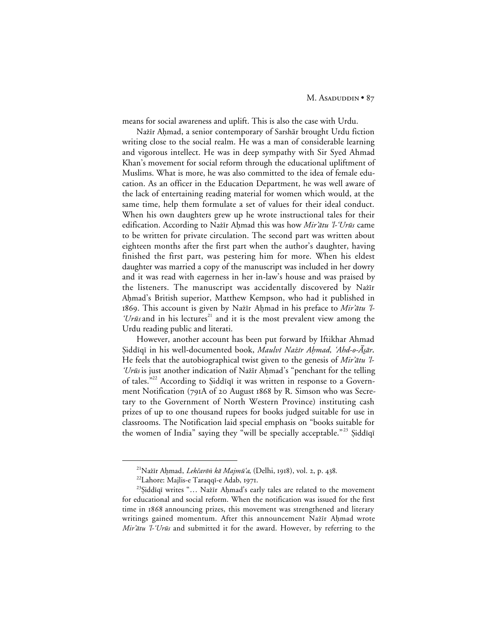means for social awareness and uplift. This is also the case with Urdu.

Nażīr Aḥmad, a senior contemporary of Sarshār brought Urdu fiction writing close to the social realm. He was a man of considerable learning and vigorous intellect. He was in deep sympathy with Sir Syed Ahmad Khan's movement for social reform through the educational upliftment of Muslims. What is more, he was also committed to the idea of female education. As an officer in the Education Department, he was well aware of the lack of entertaining reading material for women which would, at the same time, help them formulate a set of values for their ideal conduct. When his own daughters grew up he wrote instructional tales for their edification. According to Nažīr Ahmad this was how Mir'ātu 'l-'Urūs came to be written for private circulation. The second part was written about eighteen months after the first part when the author's daughter, having finished the first part, was pestering him for more. When his eldest daughter was married a copy of the manuscript was included in her dowry and it was read with eagerness in her in-law's house and was praised by the listeners. The manuscript was accidentally discovered by Nażīr Ahmad's British superior, Matthew Kempson, who had it published in 1869. This account is given by Nažīr Aḥmad in his preface to Mir'ātu 'l-'Ur $\bar{u}$ s and in his lectures<sup>21</sup> and it is the most prevalent view among the Urdu reading public and literati.

However, another account has been put forward by Iftikhar Ahmad §iddīqī in his well-documented book, Maulvī Nażīr Ahmad, 'Ahd-o-Āsār. He feels that the autobiographical twist given to the genesis of Mir' $\bar{a}tu$  'l-'Urūs is just another indication of Nažīr Aḥmad's "penchant for the telling of tales."<sup>22</sup> According to Siddiqi it was written in response to a Government Notification (791A of 20 August 1868 by R. Simson who was Secretary to the Government of North Western Province) instituting cash prizes of up to one thousand rupees for books judged suitable for use in classrooms. The Notification laid special emphasis on "books suitable for the women of India" saying they "will be specially acceptable."<sup>23</sup> Şiddīqī

 <sup>21</sup>Naÿµr A√mad, Lek±arå- k≥ Majm∑'a, (Delhi, ), vol. , p. .

<sup>&</sup>lt;sup>22</sup>Lahore: Majlis-e Taraqqī-e Adab, 1971.

<sup>&</sup>lt;sup>23</sup>Şiddīqī writes "... Nażīr Aḥmad's early tales are related to the movement for educational and social reform. When the notification was issued for the first time in 1868 announcing prizes, this movement was strengthened and literary writings gained momentum. After this announcement Nażīr Ahmad wrote Mir'ātu 'l-'Urūs and submitted it for the award. However, by referring to the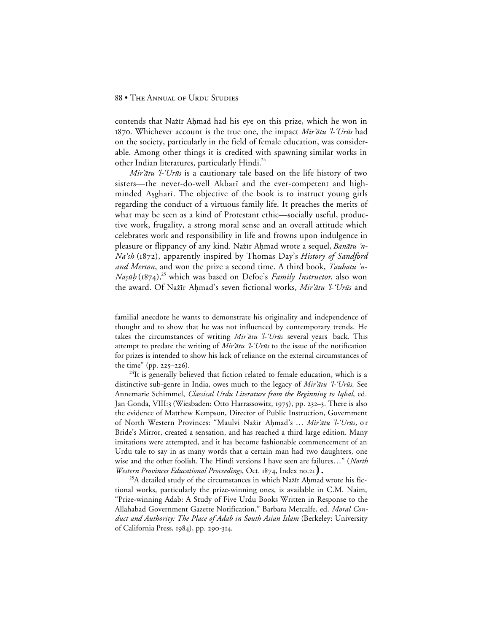#### 88 • THE ANNUAL OF URDU STUDIES

 $\overline{a}$ 

contends that Nažīr Ahmad had his eye on this prize, which he won in 1870. Whichever account is the true one, the impact Mir'ātu 'l-'Urūs had on the society, particularly in the field of female education, was considerable. Among other things it is credited with spawning similar works in other Indian literatures, particularly Hindi.<sup>24</sup>

Mir'ātu 'l-'Urūs is a cautionary tale based on the life history of two sisters—the never-do-well Akbarī and the ever-competent and highminded Aşgharī. The objective of the book is to instruct young girls regarding the conduct of a virtuous family life. It preaches the merits of what may be seen as a kind of Protestant ethic—socially useful, productive work, frugality, a strong moral sense and an overall attitude which celebrates work and responsibility in life and frowns upon indulgence in pleasure or flippancy of any kind. Nažīr Ahmad wrote a sequel, Banātu 'n-Na'sh (1872), apparently inspired by Thomas Day's *History of Sandford and Merton*, and won the prize a second time. A third book, Taubatu 'n-*Naṣūb* (1874),<sup>25</sup> which was based on Defoe's *Family Instructor*, also won the award. Of Nażīr Ahmad's seven fictional works, Mir'ātu 'l-'Urūs and

 $^{24}$ It is generally believed that fiction related to female education, which is a distinctive sub-genre in India, owes much to the legacy of  $Mir'_{\bar{a}ttu}$  'l-'Ur $\bar{u}$ s. See Annemarie Schimmel, *Classical Urdu Literature from the Beginning to Iqbal*, ed. Jan Gonda, VIII:3 (Wiesbaden: Otto Harrassowitz, 1975), pp. 232-3. There is also the evidence of Matthew Kempson, Director of Public Instruction, Government of North Western Provinces: "Maulvi Nażīr Aḥmad's ... Mir'ātu 'l-'Urūs, o r Bride's Mirror, created a sensation, and has reached a third large edition. Many imitations were attempted, and it has become fashionable commencement of an Urdu tale to say in as many words that a certain man had two daughters, one wise and the other foolish. The Hindi versions I have seen are failures…" (*North Western Provinces Educational Proceedings*, Oct. 1874, Index no.21).

<sup>25</sup>A detailed study of the circumstances in which Nažīr Ahmad wrote his fictional works, particularly the prize-winning ones, is available in C.M. Naim, "Prize-winning Adab: A Study of Five Urdu Books Written in Response to the Allahabad Government Gazette Notification," Barbara Metcalfe, ed. *Moral Conduct and Authority: The Place of Adab in South Asian Islam* (Berkeley: University of California Press, 1984), pp. 290-314.

familial anecdote he wants to demonstrate his originality and independence of thought and to show that he was not influenced by contemporary trends. He takes the circumstances of writing Mir'ātu 'l-'Urūs several years back. This attempt to predate the writing of Mir' $\bar{a}tu$  'l-'Ur $\bar{u}s$  to the issue of the notification for prizes is intended to show his lack of reliance on the external circumstances of the time" (pp.  $225 - 226$ ).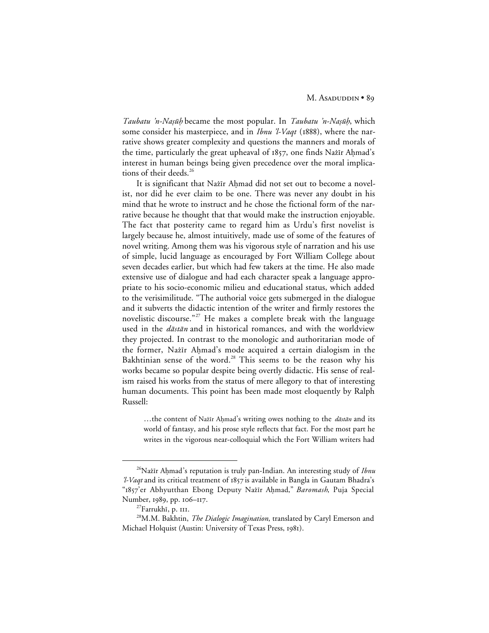Taubatu 'n-Nasūh became the most popular. In Taubatu 'n-Nasūh, which some consider his masterpiece, and in *Ibnu 'l-Vaqt* (1888), where the narrative shows greater complexity and questions the manners and morals of the time, particularly the great upheaval of 1857, one finds Nažīr Ahmad's interest in human beings being given precedence over the moral implications of their deeds.<sup>26</sup>

It is significant that Nažīr Aḥmad did not set out to become a novelist, nor did he ever claim to be one. There was never any doubt in his mind that he wrote to instruct and he chose the fictional form of the narrative because he thought that that would make the instruction enjoyable. The fact that posterity came to regard him as Urdu's first novelist is largely because he, almost intuitively, made use of some of the features of novel writing. Among them was his vigorous style of narration and his use of simple, lucid language as encouraged by Fort William College about seven decades earlier, but which had few takers at the time. He also made extensive use of dialogue and had each character speak a language appropriate to his socio-economic milieu and educational status, which added to the verisimilitude. "The authorial voice gets submerged in the dialogue and it subverts the didactic intention of the writer and firmly restores the novelistic discourse."<sup>27</sup> He makes a complete break with the language used in the *dāstān* and in historical romances, and with the worldview they projected. In contrast to the monologic and authoritarian mode of the former, Nažīr Ahmad's mode acquired a certain dialogism in the Bakhtinian sense of the word.<sup>28</sup> This seems to be the reason why his works became so popular despite being overtly didactic. His sense of realism raised his works from the status of mere allegory to that of interesting human documents. This point has been made most eloquently by Ralph Russell:

…the content of Nazīr Ahmad's writing owes nothing to the *dāstān* and its world of fantasy, and his prose style reflects that fact. For the most part he writes in the vigorous near-colloquial which the Fort William writers had

<sup>&</sup>lt;sup>26</sup>Nażīr Aḥmad's reputation is truly pan-Indian. An interesting study of Ibnu 'l-Vaqt and its critical treatment of 1857 is available in Bangla in Gautam Bhadra's "1857'er Abhyutthan Ebong Deputy Nażīr Aḥmad," *Baromash*, Puja Special Number, 1989, pp. 106–117.

<sup>&</sup>lt;sup>27</sup>Farrukhī, p. III.

<sup>28</sup>M.M. Bakhtin, *The Dialogic Imagination*, translated by Caryl Emerson and Michael Holquist (Austin: University of Texas Press, 1981).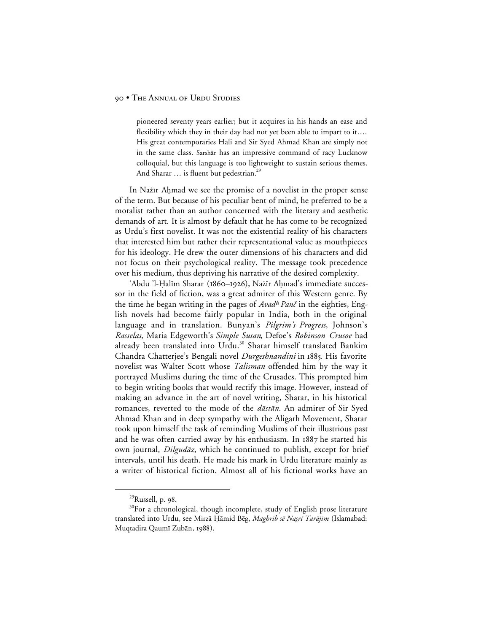pioneered seventy years earlier; but it acquires in his hands an ease and flexibility which they in their day had not yet been able to impart to it.... His great contemporaries Hali and Sir Syed Ahmad Khan are simply not in the same class. Sarshār has an impressive command of racy Lucknow colloquial, but this language is too lightweight to sustain serious themes. And Sharar ... is fluent but pedestrian.<sup>29</sup>

In Nażīr Ahmad we see the promise of a novelist in the proper sense of the term. But because of his peculiar bent of mind, he preferred to be a moralist rather than an author concerned with the literary and aesthetic demands of art. It is almost by default that he has come to be recognized as Urdu's first novelist. It was not the existential reality of his characters that interested him but rather their representational value as mouthpieces for his ideology. He drew the outer dimensions of his characters and did not focus on their psychological reality. The message took precedence over his medium, thus depriving his narrative of the desired complexity.

'Abdu 'l-Halīm Sharar (1860-1926), Nažīr Aḥmad's immediate successor in the field of fiction, was a great admirer of this Western genre. By the time he began writing in the pages of Avad<sup>h</sup> Panč in the eighties, English novels had become fairly popular in India, both in the original language and in translation. Bunyan's *Pilgrim's Progress*, Johnson's *Rasselas*, Maria Edgeworth's *Simple Susan*, Defoe's *Robinson Crusoe* had already been translated into Urdu.<sup>30</sup> Sharar himself translated Bankim Chandra Chatterjee's Bengali novel *Durgeshnandini* in 1885. His favorite novelist was Walter Scott whose *Talisman* offended him by the way it portrayed Muslims during the time of the Crusades. This prompted him to begin writing books that would rectify this image. However, instead of making an advance in the art of novel writing, Sharar, in his historical romances, reverted to the mode of the *dāstān*. An admirer of Sir Syed Ahmad Khan and in deep sympathy with the Aligarh Movement, Sharar took upon himself the task of reminding Muslims of their illustrious past and he was often carried away by his enthusiasm. In 1887 he started his own journal, Dilgudāz, which he continued to publish, except for brief intervals, until his death. He made his mark in Urdu literature mainly as a writer of historical fiction. Almost all of his fictional works have an

 $^{29}$ Russell, p. 98.

<sup>&</sup>lt;sup>30</sup>For a chronological, though incomplete, study of English prose literature translated into Urdu, see Mirzā Ḥāmid Bēg, Maghrib sē Naṣrī Tarājim (Islamabad: Muqtadira Qaumī Zubān, 1988).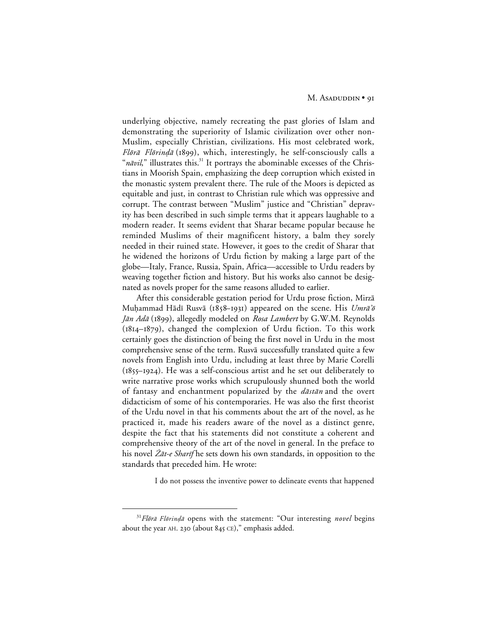underlying objective, namely recreating the past glories of Islam and demonstrating the superiority of Islamic civilization over other non-Muslim, especially Christian, civilizations. His most celebrated work, Flōrā Flōrindā (1899), which, interestingly, he self-consciously calls a " $n\bar{a}vil$ ," illustrates this.<sup>31</sup> It portrays the abominable excesses of the Christians in Moorish Spain, emphasizing the deep corruption which existed in the monastic system prevalent there. The rule of the Moors is depicted as equitable and just, in contrast to Christian rule which was oppressive and corrupt. The contrast between "Muslim" justice and "Christian" depravity has been described in such simple terms that it appears laughable to a modern reader. It seems evident that Sharar became popular because he reminded Muslims of their magnificent history, a balm they sorely needed in their ruined state. However, it goes to the credit of Sharar that he widened the horizons of Urdu fiction by making a large part of the globe—Italy, France, Russia, Spain, Africa—accessible to Urdu readers by weaving together fiction and history. But his works also cannot be designated as novels proper for the same reasons alluded to earlier.

After this considerable gestation period for Urdu prose fiction, Mirza Muhammad Hādī Rusvā (1858-1931) appeared on the scene. His Umrā'õ Jān Adā (1899), allegedly modeled on *Rosa Lambert* by G.W.M. Reynolds  $(1814 - 1879)$ , changed the complexion of Urdu fiction. To this work certainly goes the distinction of being the first novel in Urdu in the most comprehensive sense of the term. Rusvā successfully translated quite a few novels from English into Urdu, including at least three by Marie Corelli  $(1855-1924)$ . He was a self-conscious artist and he set out deliberately to write narrative prose works which scrupulously shunned both the world of fantasy and enchantment popularized by the  $d\bar{a}$ st $\bar{a}$ n and the overt didacticism of some of his contemporaries. He was also the first theorist of the Urdu novel in that his comments about the art of the novel, as he practiced it, made his readers aware of the novel as a distinct genre, despite the fact that his statements did not constitute a coherent and comprehensive theory of the art of the novel in general. In the preface to his novel  $\bar{Z}$ *at-e Sharif* he sets down his own standards, in opposition to the standards that preceded him. He wrote:

I do not possess the inventive power to delineate events that happened

<sup>&</sup>lt;sup>31</sup>Flōrā Flōrinḍā opens with the statement: "Our interesting novel begins about the year AH. 230 (about  $845$  CE)," emphasis added.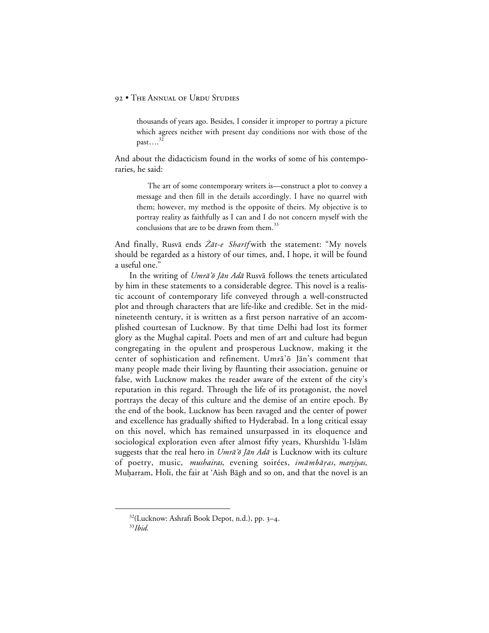thousands of years ago. Besides, I consider it improper to portray a picture which agrees neither with present day conditions nor with those of the past…. $3^{2}$ 

And about the didacticism found in the works of some of his contemporaries, he said:

The art of some contemporary writers is—construct a plot to convey a message and then fill in the details accordingly. I have no quarrel with them; however, my method is the opposite of theirs. My objective is to portray reality as faithfully as I can and I do not concern myself with the conclusions that are to be drawn from them.<sup>33</sup>

And finally, Rusvā ends Żāt-e Sharīf with the statement: "My novels should be regarded as a history of our times, and, I hope, it will be found a useful one."

In the writing of  $Umr\bar{a}'\bar{\sigma}$  *Jan Ada* Rusva follows the tenets articulated by him in these statements to a considerable degree. This novel is a realistic account of contemporary life conveyed through a well-constructed plot and through characters that are life-like and credible. Set in the midnineteenth century, it is written as a first person narrative of an accomplished courtesan of Lucknow. By that time Delhi had lost its former glory as the Mughal capital. Poets and men of art and culture had begun congregating in the opulent and prosperous Lucknow, making it the center of sophistication and refinement. Umra'ō Jān's comment that many people made their living by flaunting their association, genuine or false, with Lucknow makes the reader aware of the extent of the city's reputation in this regard. Through the life of its protagonist, the novel portrays the decay of this culture and the demise of an entire epoch. By the end of the book, Lucknow has been ravaged and the center of power and excellence has gradually shifted to Hyderabad. In a long critical essay on this novel, which has remained unsurpassed in its eloquence and sociological exploration even after almost fifty years, Khurshīdu 'l-Islām suggests that the real hero in  $Umr\bar{a}'\bar{\sigma}$  *Jān Adā* is Lucknow with its culture of poetry, music, mushairas, evening soirées, imāmbāras, marsiyas, Muḥarram, Holi, the fair at 'Aish Bāgh and so on, and that the novel is an

<sup>&</sup>lt;sup>32</sup>(Lucknow: Ashrafi Book Depot, n.d.), pp. 3-4.

<sup>33</sup>*Ibid.*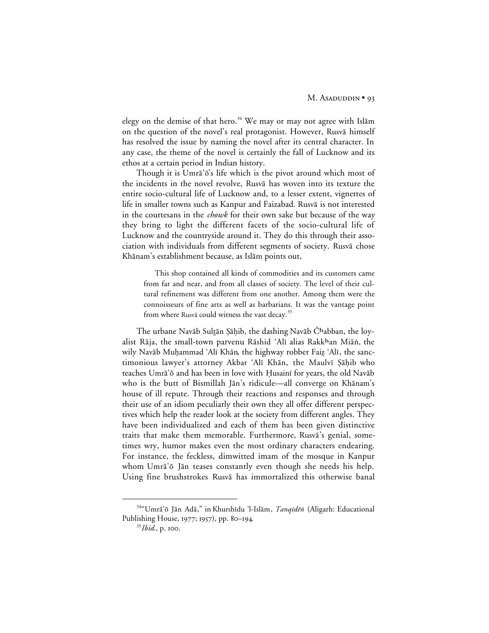elegy on the demise of that hero.<sup>34</sup> We may or may not agree with Islām on the question of the novel's real protagonist. However, Rusva himself has resolved the issue by naming the novel after its central character. In any case, the theme of the novel is certainly the fall of Lucknow and its ethos at a certain period in Indian history.

Though it is Umra'o's life which is the pivot around which most of the incidents in the novel revolve, Rusva has woven into its texture the entire socio-cultural life of Lucknow and, to a lesser extent, vignettes of life in smaller towns such as Kanpur and Faizabad. Rusvā is not interested in the courtesans in the *chowk* for their own sake but because of the way they bring to light the different facets of the socio-cultural life of Lucknow and the countryside around it. They do this through their association with individuals from different segments of society. Rusvā chose Khānam's establishment because, as Islām points out,

This shop contained all kinds of commodities and its customers came from far and near, and from all classes of society. The level of their cultural refinement was different from one another. Among them were the connoisseurs of fine arts as well as barbarians. It was the vantage point from where Rusva could witness the vast decay. $35$ 

The urbane Navāb Sultān Şāḥib, the dashing Navāb Čhabban, the loyalist Rāja, the small-town parvenu Rāshid 'Alī alias Rakkhan Miān, the wily Navāb Muhammad 'Alī Khān, the highway robber Faiz 'Alī, the sanctimonious lawyer's attorney Akbar 'Alī Khān, the Maulvī Şāḥib who teaches Umra'õ and has been in love with Husainī for years, the old Navāb who is the butt of Bismillah Jān's ridicule—all converge on Khānam's house of ill repute. Through their reactions and responses and through their use of an idiom peculiarly their own they all offer different perspectives which help the reader look at the society from different angles. They have been individualized and each of them has been given distinctive traits that make them memorable. Furthermore, Rusva's genial, sometimes wry, humor makes even the most ordinary characters endearing. For instance, the feckless, dimwitted imam of the mosque in Kanpur whom Umra'ō Jān teases constantly even though she needs his help. Using fine brushstrokes Rusvā has immortalized this otherwise banal

 <sup>34&</sup>quot;Umr≥'å J≥n Ad≥," in Khurshµdu 'l-Isl≥m, Tanqµd®- (Aligarh: Educational Publishing House, 1977; 1957), pp. 80-194.

<sup>&</sup>lt;sup>35</sup>*Ibid.*, p. 100.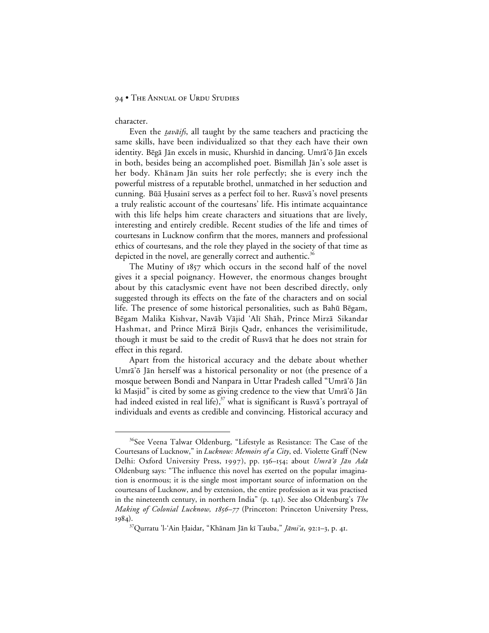#### 94 • THE ANNUAL OF URDU STUDIES

character.

Even the *tavāifs*, all taught by the same teachers and practicing the same skills, have been individualized so that they each have their own identity. Bēgā Jān excels in music, Khurshīd in dancing. Umrā'ō Jān excels in both, besides being an accomplished poet. Bismillah Jān's sole asset is her body. Khānam Jān suits her role perfectly; she is every inch the powerful mistress of a reputable brothel, unmatched in her seduction and cunning. Būā Ḥusainī serves as a perfect foil to her. Rusvā's novel presents a truly realistic account of the courtesans' life. His intimate acquaintance with this life helps him create characters and situations that are lively, interesting and entirely credible. Recent studies of the life and times of courtesans in Lucknow confirm that the mores, manners and professional ethics of courtesans, and the role they played in the society of that time as depicted in the novel, are generally correct and authentic.<sup>36</sup>

The Mutiny of 1857 which occurs in the second half of the novel gives it a special poignancy. However, the enormous changes brought about by this cataclysmic event have not been described directly, only suggested through its effects on the fate of the characters and on social life. The presence of some historical personalities, such as Bahū Bēgam, Bēgam Malika Kishvar, Navāb Vājid 'Alī Shāh, Prince Mirzā Sikandar Hashmat, and Prince Mirzā Birjīs Qadr, enhances the verisimilitude, though it must be said to the credit of Rusva that he does not strain for effect in this regard.

Apart from the historical accuracy and the debate about whether Umrā'ō Jān herself was a historical personality or not (the presence of a mosque between Bondi and Nanpara in Uttar Pradesh called "Umra'ō Jān kī Masjid" is cited by some as giving credence to the view that Umra'ō Jān had indeed existed in real life), $37$  what is significant is Rusva's portrayal of individuals and events as credible and convincing. Historical accuracy and

<sup>&</sup>lt;sup>36</sup>See Veena Talwar Oldenburg, "Lifestyle as Resistance: The Case of the Courtesans of Lucknow," in *Lucknow: Memoirs of a City*, ed. Violette Graff (New Delhi: Oxford University Press, 1997), pp. 136-154; about Umrā'ō Jān Adā Oldenburg says: "The influence this novel has exerted on the popular imagination is enormous; it is the single most important source of information on the courtesans of Lucknow, and by extension, the entire profession as it was practised in the nineteenth century, in northern India" (p. 141). See also Oldenburg's *The Making of Colonial Lucknow, 1856–77* (Princeton: Princeton University Press, 1984).

<sup>&</sup>lt;sup>37</sup>Qurratu 'l-'Ain Ḥaidar, "Khānam Jān kī Tauba," *Jāmi'a*, 92:1–3, p. 41.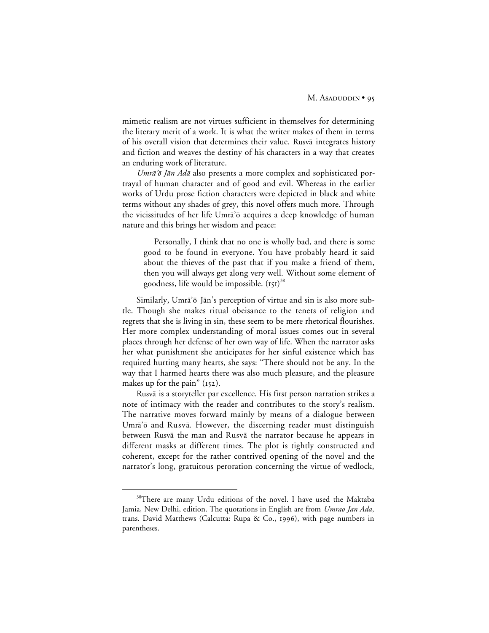mimetic realism are not virtues sufficient in themselves for determining the literary merit of a work. It is what the writer makes of them in terms of his overall vision that determines their value. Rusva integrates history and fiction and weaves the destiny of his characters in a way that creates an enduring work of literature.

Umrā'ō Jān Adā also presents a more complex and sophisticated portrayal of human character and of good and evil. Whereas in the earlier works of Urdu prose fiction characters were depicted in black and white terms without any shades of grey, this novel offers much more. Through the vicissitudes of her life Umra'ō acquires a deep knowledge of human nature and this brings her wisdom and peace:

Personally, I think that no one is wholly bad, and there is some good to be found in everyone. You have probably heard it said about the thieves of the past that if you make a friend of them, then you will always get along very well. Without some element of goodness, life would be impossible.  $(151)^{38}$ 

Similarly, Umrā'ō Jān's perception of virtue and sin is also more subtle. Though she makes ritual obeisance to the tenets of religion and regrets that she is living in sin, these seem to be mere rhetorical flourishes. Her more complex understanding of moral issues comes out in several places through her defense of her own way of life. When the narrator asks her what punishment she anticipates for her sinful existence which has required hurting many hearts, she says: "There should not be any. In the way that I harmed hearts there was also much pleasure, and the pleasure makes up for the pain"  $(152)$ .

Rusva is a storyteller par excellence. His first person narration strikes a note of intimacy with the reader and contributes to the story's realism. The narrative moves forward mainly by means of a dialogue between Umra'ō and Rusvā. However, the discerning reader must distinguish between Rusvā the man and Rusvā the narrator because he appears in different masks at different times. The plot is tightly constructed and coherent, except for the rather contrived opening of the novel and the narrator's long, gratuitous peroration concerning the virtue of wedlock,

<sup>&</sup>lt;sup>38</sup>There are many Urdu editions of the novel. I have used the Maktaba Jamia, New Delhi, edition. The quotations in English are from *Umrao Jan Ada*, trans. David Matthews (Calcutta: Rupa & Co., 1996), with page numbers in parentheses.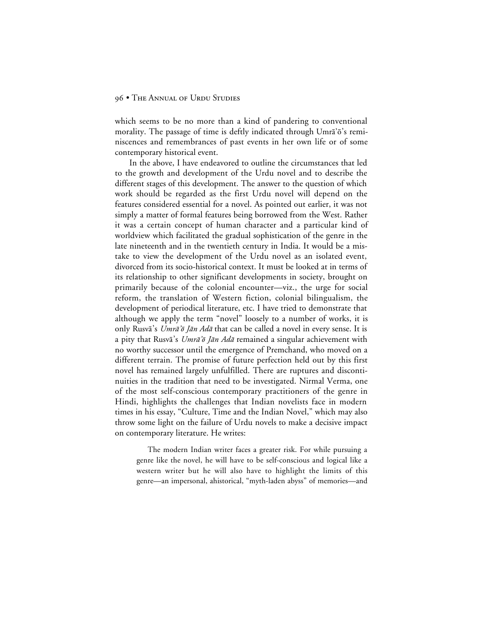which seems to be no more than a kind of pandering to conventional morality. The passage of time is deftly indicated through Umra'ō's reminiscences and remembrances of past events in her own life or of some contemporary historical event.

In the above, I have endeavored to outline the circumstances that led to the growth and development of the Urdu novel and to describe the different stages of this development. The answer to the question of which work should be regarded as the first Urdu novel will depend on the features considered essential for a novel. As pointed out earlier, it was not simply a matter of formal features being borrowed from the West. Rather it was a certain concept of human character and a particular kind of worldview which facilitated the gradual sophistication of the genre in the late nineteenth and in the twentieth century in India. It would be a mistake to view the development of the Urdu novel as an isolated event, divorced from its socio-historical context. It must be looked at in terms of its relationship to other significant developments in society, brought on primarily because of the colonial encounter—viz., the urge for social reform, the translation of Western fiction, colonial bilingualism, the development of periodical literature, etc. I have tried to demonstrate that although we apply the term "novel" loosely to a number of works, it is only Rusvā's Umrā'ō Jān Adā that can be called a novel in every sense. It is a pity that Rusvā's Umrā'õ Jān Adā remained a singular achievement with no worthy successor until the emergence of Premchand, who moved on a different terrain. The promise of future perfection held out by this first novel has remained largely unfulfilled. There are ruptures and discontinuities in the tradition that need to be investigated. Nirmal Verma, one of the most self-conscious contemporary practitioners of the genre in Hindi, highlights the challenges that Indian novelists face in modern times in his essay, "Culture, Time and the Indian Novel," which may also throw some light on the failure of Urdu novels to make a decisive impact on contemporary literature. He writes:

The modern Indian writer faces a greater risk. For while pursuing a genre like the novel, he will have to be self-conscious and logical like a western writer but he will also have to highlight the limits of this genre—an impersonal, ahistorical, "myth-laden abyss" of memories—and